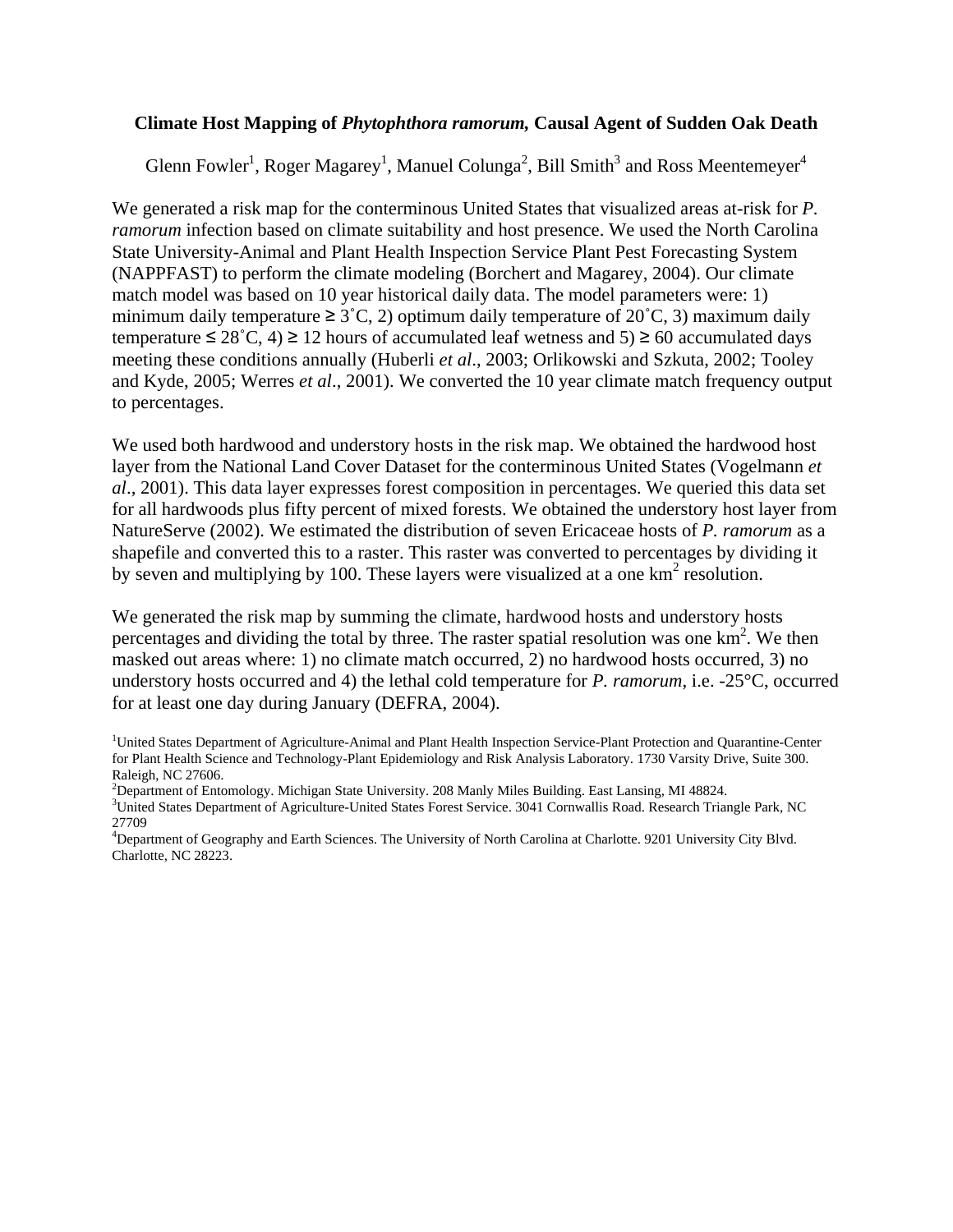## **Climate Host Mapping of** *Phytophthora ramorum,* **Causal Agent of Sudden Oak Death**

Glenn Fowler<sup>1</sup>, Roger Magarey<sup>1</sup>, Manuel Colunga<sup>2</sup>, Bill Smith<sup>3</sup> and Ross Meentemeyer<sup>4</sup>

We generated a risk map for the conterminous United States that visualized areas at-risk for *P. ramorum* infection based on climate suitability and host presence. We used the North Carolina State University-Animal and Plant Health Inspection Service Plant Pest Forecasting System (NAPPFAST) to perform the climate modeling (Borchert and Magarey, 2004). Our climate match model was based on 10 year historical daily data. The model parameters were: 1) minimum daily temperature  $\geq 3^{\circ}$ C, 2) optimum daily temperature of 20 $^{\circ}$ C, 3) maximum daily temperature  $\leq 28^{\circ}$ C, 4)  $\geq 12$  hours of accumulated leaf wetness and 5)  $\geq 60$  accumulated days meeting these conditions annually (Huberli *et al*., 2003; Orlikowski and Szkuta, 2002; Tooley and Kyde, 2005; Werres *et al*., 2001). We converted the 10 year climate match frequency output to percentages.

We used both hardwood and understory hosts in the risk map. We obtained the hardwood host layer from the National Land Cover Dataset for the conterminous United States (Vogelmann *et al*., 2001). This data layer expresses forest composition in percentages. We queried this data set for all hardwoods plus fifty percent of mixed forests. We obtained the understory host layer from NatureServe (2002). We estimated the distribution of seven Ericaceae hosts of *P. ramorum* as a shapefile and converted this to a raster. This raster was converted to percentages by dividing it by seven and multiplying by 100. These layers were visualized at a one  $km^2$  resolution.

We generated the risk map by summing the climate, hardwood hosts and understory hosts percentages and dividing the total by three. The raster spatial resolution was one km<sup>2</sup>. We then masked out areas where: 1) no climate match occurred, 2) no hardwood hosts occurred, 3) no understory hosts occurred and 4) the lethal cold temperature for *P. ramorum*, i.e. -25°C, occurred for at least one day during January (DEFRA, 2004).

- <sup>2</sup> Department of Entomology. Michigan State University. 208 Manly Miles Building. East Lansing, MI 48824.
- $<sup>3</sup>$ United States Department of Agriculture-United States Forest Service. 3041 Cornwallis Road. Research Triangle Park, NC</sup> 27709

<sup>&</sup>lt;sup>1</sup>United States Department of Agriculture-Animal and Plant Health Inspection Service-Plant Protection and Quarantine-Center for Plant Health Science and Technology-Plant Epidemiology and Risk Analysis Laboratory. 1730 Varsity Drive, Suite 300. Raleigh, NC 27606.

<sup>4</sup> Department of Geography and Earth Sciences. The University of North Carolina at Charlotte. 9201 University City Blvd. Charlotte, NC 28223.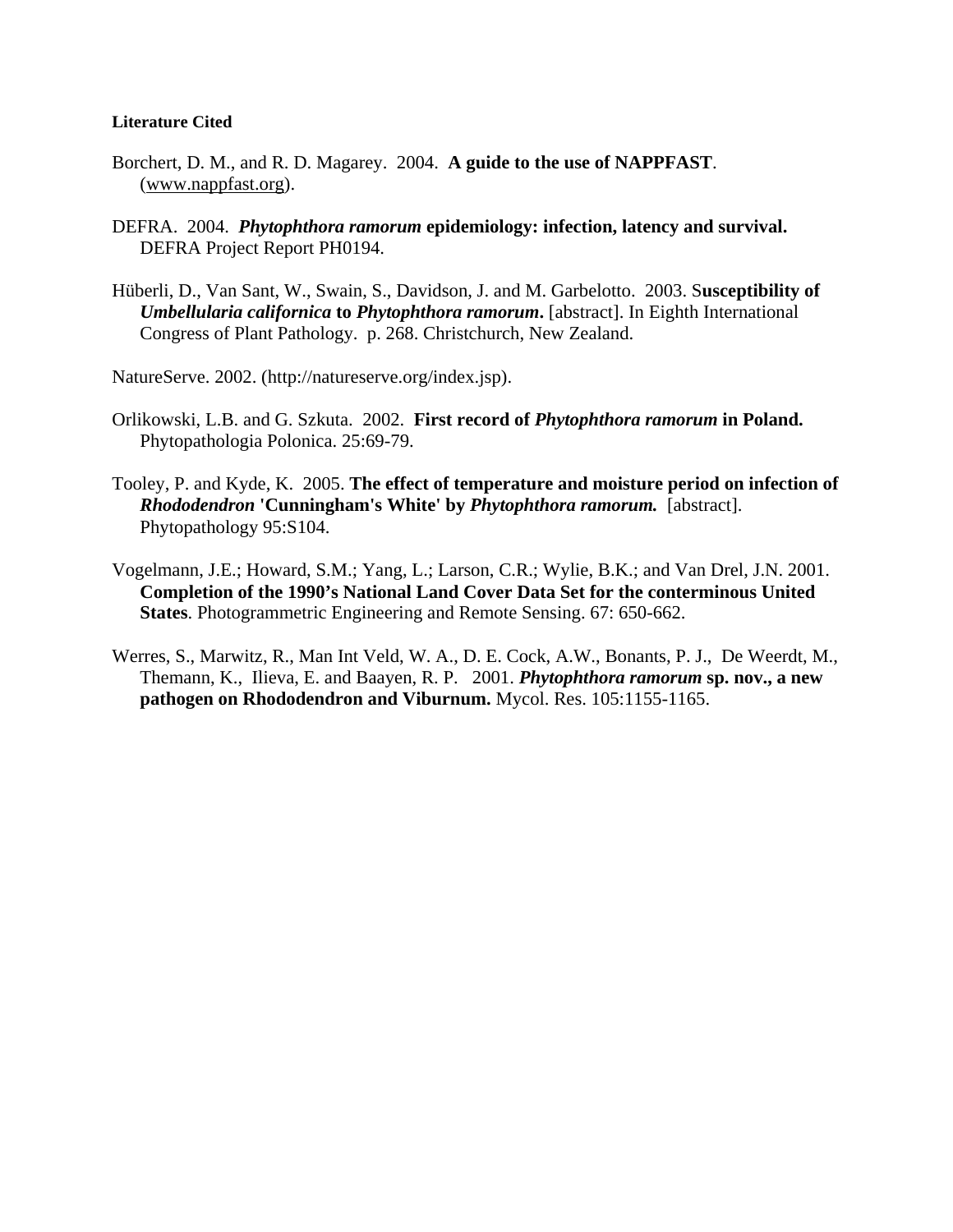## **Literature Cited**

- Borchert, D. M., and R. D. Magarey. 2004. **A guide to the use of NAPPFAST**. ([www.nappfast.org\)](http://www.nappfast.org/).
- DEFRA. 2004. *Phytophthora ramorum* **epidemiology: infection, latency and survival.**  DEFRA Project Report PH0194.
- Hüberli, D., Van Sant, W., Swain, S., Davidson, J. and M. Garbelotto. 2003. S**usceptibility of**  *Umbellularia californica* **to** *Phytophthora ramorum***.** [abstract]. In Eighth International Congress of Plant Pathology. p. 268. Christchurch, New Zealand.

NatureServe. 2002. (http://natureserve.org/index.jsp).

- Orlikowski, L.B. and G. Szkuta. 2002. **First record of** *Phytophthora ramorum* **in Poland.** Phytopathologia Polonica. 25:69-79.
- Tooley, P. and Kyde, K. 2005. **The effect of temperature and moisture period on infection of**  *Rhododendron* **'Cunningham's White' by** *Phytophthora ramorum.* [abstract]. Phytopathology 95:S104.
- Vogelmann, J.E.; Howard, S.M.; Yang, L.; Larson, C.R.; Wylie, B.K.; and Van Drel, J.N. 2001. **Completion of the 1990's National Land Cover Data Set for the conterminous United States**. Photogrammetric Engineering and Remote Sensing. 67: 650-662.
- Werres, S., Marwitz, R., Man Int Veld, W. A., D. E. Cock, A.W., Bonants, P. J., De Weerdt, M., Themann, K., Ilieva, E. and Baayen, R. P. 2001. *Phytophthora ramorum* **sp. nov., a new pathogen on Rhododendron and Viburnum.** Mycol. Res. 105:1155-1165.